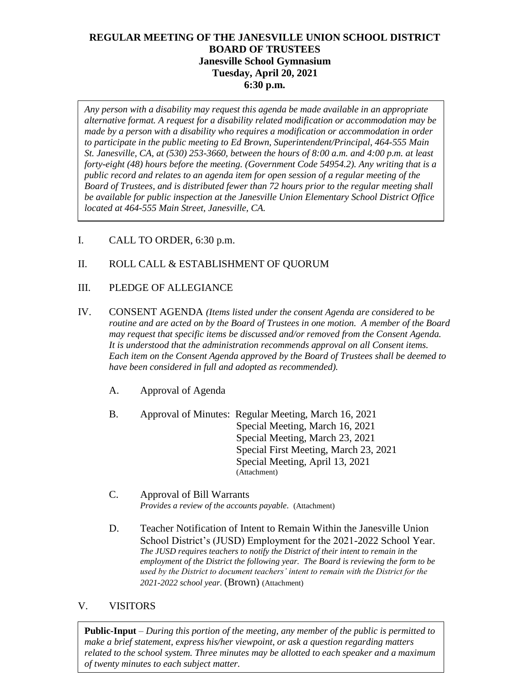# **REGULAR MEETING OF THE JANESVILLE UNION SCHOOL DISTRICT BOARD OF TRUSTEES Janesville School Gymnasium Tuesday, April 20, 2021 6:30 p.m.**

*Any person with a disability may request this agenda be made available in an appropriate alternative format. A request for a disability related modification or accommodation may be made by a person with a disability who requires a modification or accommodation in order to participate in the public meeting to Ed Brown, Superintendent/Principal, 464-555 Main St. Janesville, CA, at (530) 253-3660, between the hours of 8:00 a.m. and 4:00 p.m. at least forty-eight (48) hours before the meeting. (Government Code 54954.2). Any writing that is a public record and relates to an agenda item for open session of a regular meeting of the Board of Trustees, and is distributed fewer than 72 hours prior to the regular meeting shall be available for public inspection at the Janesville Union Elementary School District Office located at 464-555 Main Street, Janesville, CA.* 

- I. CALL TO ORDER, 6:30 p.m.
- II. ROLL CALL & ESTABLISHMENT OF QUORUM
- III. PLEDGE OF ALLEGIANCE
- IV. CONSENT AGENDA *(Items listed under the consent Agenda are considered to be routine and are acted on by the Board of Trustees in one motion. A member of the Board may request that specific items be discussed and/or removed from the Consent Agenda. It is understood that the administration recommends approval on all Consent items. Each item on the Consent Agenda approved by the Board of Trustees shall be deemed to have been considered in full and adopted as recommended).*
	- A. Approval of Agenda
	- B. Approval of Minutes: Regular Meeting, March 16, 2021 Special Meeting, March 16, 2021 Special Meeting, March 23, 2021 Special First Meeting, March 23, 2021 Special Meeting, April 13, 2021 (Attachment)
	- C. Approval of Bill Warrants *Provides a review of the accounts payable.* (Attachment)
	- D. Teacher Notification of Intent to Remain Within the Janesville Union School District's (JUSD) Employment for the 2021-2022 School Year. *The JUSD requires teachers to notify the District of their intent to remain in the employment of the District the following year. The Board is reviewing the form to be used by the District to document teachers' intent to remain with the District for the 2021-2022 school year.* (Brown) (Attachment)
- V. VISITORS

**Public-Input** – *During this portion of the meeting, any member of the public is permitted to make a brief statement, express his/her viewpoint, or ask a question regarding matters related to the school system. Three minutes may be allotted to each speaker and a maximum of twenty minutes to each subject matter.*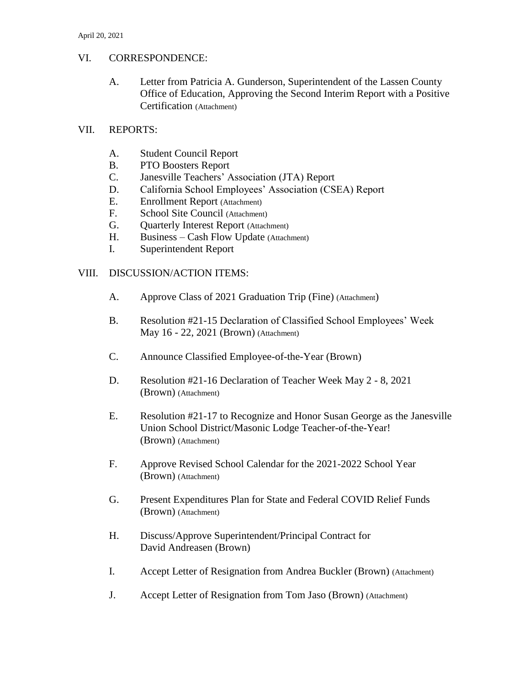## VI. CORRESPONDENCE:

A. Letter from Patricia A. Gunderson, Superintendent of the Lassen County Office of Education, Approving the Second Interim Report with a Positive Certification (Attachment)

### VII. REPORTS:

- A. Student Council Report
- B. PTO Boosters Report
- C. Janesville Teachers' Association (JTA) Report
- D. California School Employees' Association (CSEA) Report
- E. Enrollment Report (Attachment)
- F. School Site Council (Attachment)
- G. Ouarterly Interest Report (Attachment)
- H. Business Cash Flow Update (Attachment)
- I. Superintendent Report

## VIII. DISCUSSION/ACTION ITEMS:

- A. Approve Class of 2021 Graduation Trip (Fine) (Attachment)
- B. Resolution #21-15 Declaration of Classified School Employees' Week May 16 - 22, 2021 (Brown) (Attachment)
- C. Announce Classified Employee-of-the-Year (Brown)
- D. Resolution #21-16 Declaration of Teacher Week May 2 8, 2021 (Brown) (Attachment)
- E. Resolution #21-17 to Recognize and Honor Susan George as the Janesville Union School District/Masonic Lodge Teacher-of-the-Year! (Brown) (Attachment)
- F. Approve Revised School Calendar for the 2021-2022 School Year (Brown) (Attachment)
- G. Present Expenditures Plan for State and Federal COVID Relief Funds (Brown) (Attachment)
- H. Discuss/Approve Superintendent/Principal Contract for David Andreasen (Brown)
- I. Accept Letter of Resignation from Andrea Buckler (Brown) (Attachment)
- J. Accept Letter of Resignation from Tom Jaso (Brown) (Attachment)